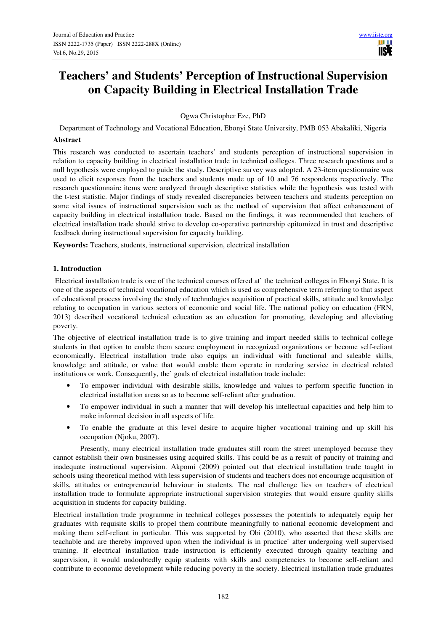# **Teachers' and Students' Perception of Instructional Supervision on Capacity Building in Electrical Installation Trade**

Ogwa Christopher Eze, PhD

Department of Technology and Vocational Education, Ebonyi State University, PMB 053 Abakaliki, Nigeria

# **Abstract**

This research was conducted to ascertain teachers' and students perception of instructional supervision in relation to capacity building in electrical installation trade in technical colleges. Three research questions and a null hypothesis were employed to guide the study. Descriptive survey was adopted. A 23-item questionnaire was used to elicit responses from the teachers and students made up of 10 and 76 respondents respectively. The research questionnaire items were analyzed through descriptive statistics while the hypothesis was tested with the t-test statistic. Major findings of study revealed discrepancies between teachers and students perception on some vital issues of instructional supervision such as the method of supervision that affect enhancement of capacity building in electrical installation trade. Based on the findings, it was recommended that teachers of electrical installation trade should strive to develop co-operative partnership epitomized in trust and descriptive feedback during instructional supervision for capacity building.

**Keywords:** Teachers, students, instructional supervision, electrical installation

# **1. Introduction**

 Electrical installation trade is one of the technical courses offered at` the technical colleges in Ebonyi State. It is one of the aspects of technical vocational education which is used as comprehensive term referring to that aspect of educational process involving the study of technologies acquisition of practical skills, attitude and knowledge relating to occupation in various sectors of economic and social life. The national policy on education (FRN, 2013) described vocational technical education as an education for promoting, developing and alleviating poverty.

The objective of electrical installation trade is to give training and impart needed skills to technical college students in that option to enable them secure employment in recognized organizations or become self-reliant economically. Electrical installation trade also equips an individual with functional and saleable skills, knowledge and attitude, or value that would enable them operate in rendering service in electrical related institutions or work. Consequently, the` goals of electrical installation trade include:

- To empower individual with desirable skills, knowledge and values to perform specific function in electrical installation areas so as to become self-reliant after graduation.
- To empower individual in such a manner that will develop his intellectual capacities and help him to make informed decision in all aspects of life.
- To enable the graduate at this level desire to acquire higher vocational training and up skill his occupation (Njoku, 2007).

 Presently, many electrical installation trade graduates still roam the street unemployed because they cannot establish their own businesses using acquired skills. This could be as a result of paucity of training and inadequate instructional supervision. Akpomi (2009) pointed out that electrical installation trade taught in schools using theoretical method with less supervision of students and teachers does not encourage acquisition of skills, attitudes or entrepreneurial behaviour in students. The real challenge lies on teachers of electrical installation trade to formulate appropriate instructional supervision strategies that would ensure quality skills acquisition in students for capacity building.

Electrical installation trade programme in technical colleges possesses the potentials to adequately equip her graduates with requisite skills to propel them contribute meaningfully to national economic development and making them self-reliant in particular. This was supported by Obi (2010), who asserted that these skills are teachable and are thereby improved upon when the individual is in practice` after undergoing well supervised training. If electrical installation trade instruction is efficiently executed through quality teaching and supervision, it would undoubtedly equip students with skills and competencies to become self-reliant and contribute to economic development while reducing poverty in the society. Electrical installation trade graduates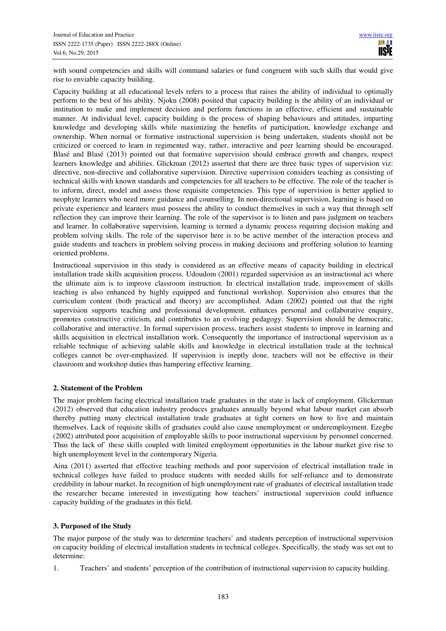with sound competencies and skills will command salaries or fund congruent with such skills that would give rise to enviable capacity building.

Capacity building at all educational levels refers to a process that raises the ability of individual to optimally perform to the best of his ability. Njoku (2008) posited that capacity building is the ability of an individual or institution to make and implement decision and perform functions in an effective, efficient and sustainable manner. At individual level, capacity building is the process of shaping behaviours and attitudes, imparting knowledge and developing skills while maximizing the benefits of participation, knowledge exchange and ownership. When normal or formative instructional supervision is being undertaken, students should not be criticized or coerced to learn in regimented way, rather, interactive and peer learning should be encouraged. Blasé and Blasé (2013) pointed out that formative supervision should embrace growth and changes, respect learners knowledge and abilities. Glickman (2012) asserted that there are three basic types of supervision viz: directive, non-directive and collaborative supervision. Directive supervision considers teaching as consisting of technical skills with known standards and competencies for all teachers to be effective. The role of the teacher is to inform, direct, model and assess those requisite competencies. This type of supervision is better applied to neophyte learners who need more guidance and counselling. In non-directional supervision, learning is based on private experience and learners must possess the ability to conduct themselves in such a way that through self reflection they can improve their learning. The role of the supervisor is to listen and pass judgment on teachers and learner. In collaborative supervision, learning is termed a dynamic process requiring decision making and problem solving skills. The role of the supervisor here is to be active member of the interaction process and guide students and teachers in problem solving process in making decisions and proffering solution to learning oriented problems.

Instructional supervision in this study is considered as an effective means of capacity building in electrical installation trade skills acquisition process. Udoudom (2001) regarded supervision as an instructional act where the ultimate aim is to improve classroom instruction. In electrical installation trade, improvement of skills teaching is also enhanced by highly equipped and functional workshop. Supervision also ensures that the curriculum content (both practical and theory) are accomplished. Adam (2002) pointed out that the right supervision supports teaching and professional development, enhances personal and collaborative enquiry, promotes constructive criticism, and contributes to an evolving pedagogy. Supervision should be democratic, collaborative and interactive. In formal supervision process, teachers assist students to improve in learning and skills acquisition in electrical installation work. Consequently the importance of instructional supervision as a reliable technique of achieving salable skills and knowledge in electrical installation trade at the technical colleges cannot be over-emphasized. If supervision is ineptly done, teachers will not be effective in their classroom and workshop duties thus hampering effective learning.

# **2. Statement of the Problem**

The major problem facing electrical installation trade graduates in the state is lack of employment. Glickerman (2012) observed that education industry produces graduates annually beyond what labour market can absorb thereby putting many electrical installation trade graduates at tight corners on how to live and maintain themselves. Lack of requisite skills of graduates could also cause unemployment or underemployment. Ezegbe (2002) attributed poor acquisition of employable skills to poor instructional supervision by personnel concerned. Thus the lack of` these skills coupled with limited employment opportunities in the labour market give rise to high unemployment level in the contemporary Nigeria.

Aina (2011) asserted that effective teaching methods and poor supervision of electrical installation trade in technical colleges have failed to produce students with needed skills for self-reliance and to demonstrate credibility in labour market. In recognition of high unemployment rate of graduates of electrical installation trade the researcher became interested in investigating how teachers' instructional supervision could influence capacity building of the graduates in this field.

# **3. Purposed of the Study**

The major purpose of the study was to determine teachers' and students perception of instructional supervision on capacity building of electrical installation students in technical colleges. Specifically, the study was set out to determine:

1. Teachers' and students' perception of the contribution of instructional supervision to capacity building.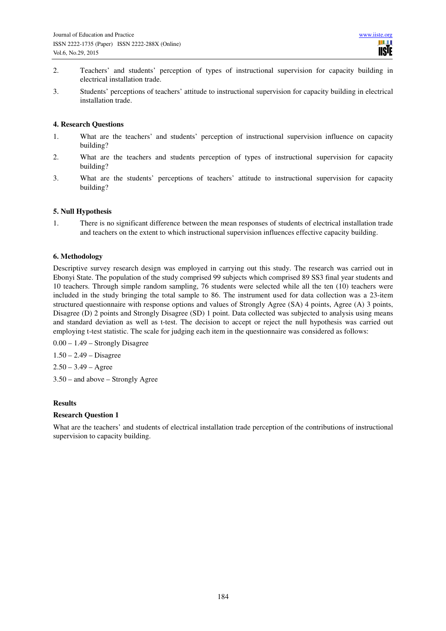- 2. Teachers' and students' perception of types of instructional supervision for capacity building in electrical installation trade.
- 3. Students' perceptions of teachers' attitude to instructional supervision for capacity building in electrical installation trade.

## **4. Research Questions**

- 1. What are the teachers' and students' perception of instructional supervision influence on capacity building?
- 2. What are the teachers and students perception of types of instructional supervision for capacity building?
- 3. What are the students' perceptions of teachers' attitude to instructional supervision for capacity building?

#### **5. Null Hypothesis**

1. There is no significant difference between the mean responses of students of electrical installation trade and teachers on the extent to which instructional supervision influences effective capacity building.

#### **6. Methodology**

Descriptive survey research design was employed in carrying out this study. The research was carried out in Ebonyi State. The population of the study comprised 99 subjects which comprised 89 SS3 final year students and 10 teachers. Through simple random sampling, 76 students were selected while all the ten (10) teachers were included in the study bringing the total sample to 86. The instrument used for data collection was a 23-item structured questionnaire with response options and values of Strongly Agree (SA) 4 points, Agree (A) 3 points, Disagree (D) 2 points and Strongly Disagree (SD) 1 point. Data collected was subjected to analysis using means and standard deviation as well as t-test. The decision to accept or reject the null hypothesis was carried out employing t-test statistic. The scale for judging each item in the questionnaire was considered as follows:

0.00 – 1.49 – Strongly Disagree

1.50 – 2.49 – Disagree

 $2.50 - 3.49 - \text{Agree}$ 

3.50 – and above – Strongly Agree

#### **Results**

#### **Research Question 1**

What are the teachers' and students of electrical installation trade perception of the contributions of instructional supervision to capacity building.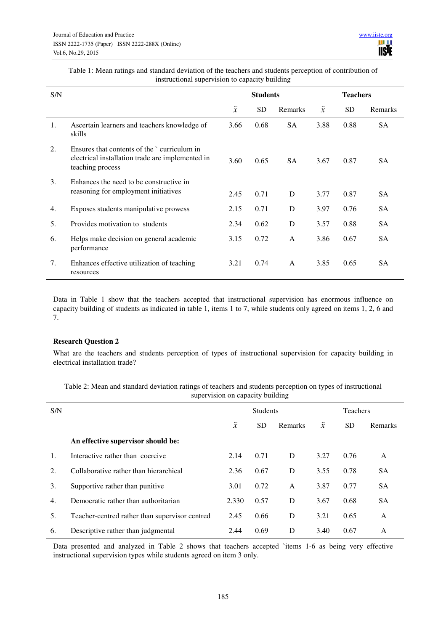Table 1: Mean ratings and standard deviation of the teachers and students perception of contribution of instructional supervision to capacity building

| S/N |                                                                                                                     |                | <b>Students</b> |              |                | <b>Teachers</b> |           |
|-----|---------------------------------------------------------------------------------------------------------------------|----------------|-----------------|--------------|----------------|-----------------|-----------|
|     |                                                                                                                     | $\overline{x}$ | <b>SD</b>       | Remarks      | $\overline{x}$ | <b>SD</b>       | Remarks   |
| 1.  | Ascertain learners and teachers knowledge of<br>skills                                                              | 3.66           | 0.68            | <b>SA</b>    | 3.88           | 0.88            | <b>SA</b> |
| 2.  | Ensures that contents of the `curriculum in<br>electrical installation trade are implemented in<br>teaching process | 3.60           | 0.65            | SA.          | 3.67           | 0.87            | <b>SA</b> |
| 3.  | Enhances the need to be constructive in<br>reasoning for employment initiatives                                     | 2.45           | 0.71            | D            | 3.77           | 0.87            | <b>SA</b> |
| 4.  | Exposes students manipulative prowess                                                                               | 2.15           | 0.71            | D            | 3.97           | 0.76            | <b>SA</b> |
| 5.  | Provides motivation to students                                                                                     | 2.34           | 0.62            | D            | 3.57           | 0.88            | <b>SA</b> |
| 6.  | Helps make decision on general academic<br>performance                                                              | 3.15           | 0.72            | $\mathsf{A}$ | 3.86           | 0.67            | <b>SA</b> |
| 7.  | Enhances effective utilization of teaching<br>resources                                                             | 3.21           | 0.74            | $\mathsf{A}$ | 3.85           | 0.65            | <b>SA</b> |

Data in Table 1 show that the teachers accepted that instructional supervision has enormous influence on capacity building of students as indicated in table 1, items 1 to 7, while students only agreed on items 1, 2, 6 and 7.

# **Research Question 2**

What are the teachers and students perception of types of instructional supervision for capacity building in electrical installation trade?

| Table 2: Mean and standard deviation ratings of teachers and students perception on types of instructional |
|------------------------------------------------------------------------------------------------------------|
| supervision on capacity building                                                                           |

| S/N |                                                |                | <b>Students</b> |         |           | Teachers  |           |
|-----|------------------------------------------------|----------------|-----------------|---------|-----------|-----------|-----------|
|     |                                                | $\overline{x}$ | <b>SD</b>       | Remarks | $\bar{x}$ | <b>SD</b> | Remarks   |
|     | An effective supervisor should be:             |                |                 |         |           |           |           |
| 1.  | Interactive rather than coercive               | 2.14           | 0.71            | D       | 3.27      | 0.76      | A         |
| 2.  | Collaborative rather than hierarchical         | 2.36           | 0.67            | D       | 3.55      | 0.78      | <b>SA</b> |
| 3.  | Supportive rather than punitive                | 3.01           | 0.72            | A       | 3.87      | 0.77      | <b>SA</b> |
| 4.  | Democratic rather than authoritarian           | 2.330          | 0.57            | D       | 3.67      | 0.68      | <b>SA</b> |
| 5.  | Teacher-centred rather than supervisor centred | 2.45           | 0.66            | D       | 3.21      | 0.65      | A         |
| 6.  | Descriptive rather than judgmental             | 2.44           | 0.69            | D       | 3.40      | 0.67      | A         |

Data presented and analyzed in Table 2 shows that teachers accepted `items 1-6 as being very effective instructional supervision types while students agreed on item 3 only.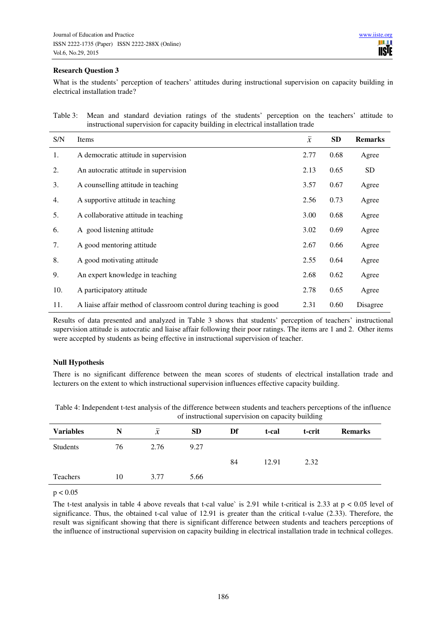# **Research Question 3**

What is the students' perception of teachers' attitudes during instructional supervision on capacity building in electrical installation trade?

|     | Table 3: Mean and standard deviation ratings of the students' perception on the teachers' attitude to |     |                               |                  |  |
|-----|-------------------------------------------------------------------------------------------------------|-----|-------------------------------|------------------|--|
|     | instructional supervision for capacity building in electrical installation trade                      |     |                               |                  |  |
| S/N | Items                                                                                                 |     | -SD                           | <b>Remarks</b>   |  |
|     | A demographic ettitude in cunemician                                                                  | 277 | $\bigcap$ $\bigcap$ $\bigcap$ | $\Lambda$ $\sim$ |  |

| 1.  | A democratic attitude in supervision                                | 2.77 | 0.68 | Agree     |
|-----|---------------------------------------------------------------------|------|------|-----------|
| 2.  | An autocratic attitude in supervision                               | 2.13 | 0.65 | <b>SD</b> |
| 3.  | A counselling attitude in teaching                                  | 3.57 | 0.67 | Agree     |
| 4.  | A supportive attitude in teaching                                   | 2.56 | 0.73 | Agree     |
| 5.  | A collaborative attitude in teaching                                | 3.00 | 0.68 | Agree     |
| 6.  | A good listening attitude                                           | 3.02 | 0.69 | Agree     |
| 7.  | A good mentoring attitude                                           | 2.67 | 0.66 | Agree     |
| 8.  | A good motivating attitude                                          | 2.55 | 0.64 | Agree     |
| 9.  | An expert knowledge in teaching                                     | 2.68 | 0.62 | Agree     |
| 10. | A participatory attitude                                            | 2.78 | 0.65 | Agree     |
| 11. | A liaise affair method of classroom control during teaching is good | 2.31 | 0.60 | Disagree  |

Results of data presented and analyzed in Table 3 shows that students' perception of teachers' instructional supervision attitude is autocratic and liaise affair following their poor ratings. The items are 1 and 2. Other items were accepted by students as being effective in instructional supervision of teacher.

# **Null Hypothesis**

There is no significant difference between the mean scores of students of electrical installation trade and lecturers on the extent to which instructional supervision influences effective capacity building.

|                  |    |           |           | $\overline{\phantom{a}}$ | <u>_</u> | ີ      |                |
|------------------|----|-----------|-----------|--------------------------|----------|--------|----------------|
| <b>Variables</b> | N  | $\bar{x}$ | <b>SD</b> | Df                       | t-cal    | t-crit | <b>Remarks</b> |
| Students         | 76 | 2.76      | 9.27      |                          |          |        |                |
|                  |    |           |           | 84                       | 12.91    | 2.32   |                |
| Teachers         | 10 | 3.77      | 5.66      |                          |          |        |                |

Table 4: Independent t-test analysis of the difference between students and teachers perceptions of the influence of instructional supervision on capacity building

# $p < 0.05$

The t-test analysis in table 4 above reveals that t-cal value` is 2.91 while t-critical is 2.33 at  $p < 0.05$  level of significance. Thus, the obtained t-cal value of 12.91 is greater than the critical t-value (2.33). Therefore, the result was significant showing that there is significant difference between students and teachers perceptions of the influence of instructional supervision on capacity building in electrical installation trade in technical colleges.